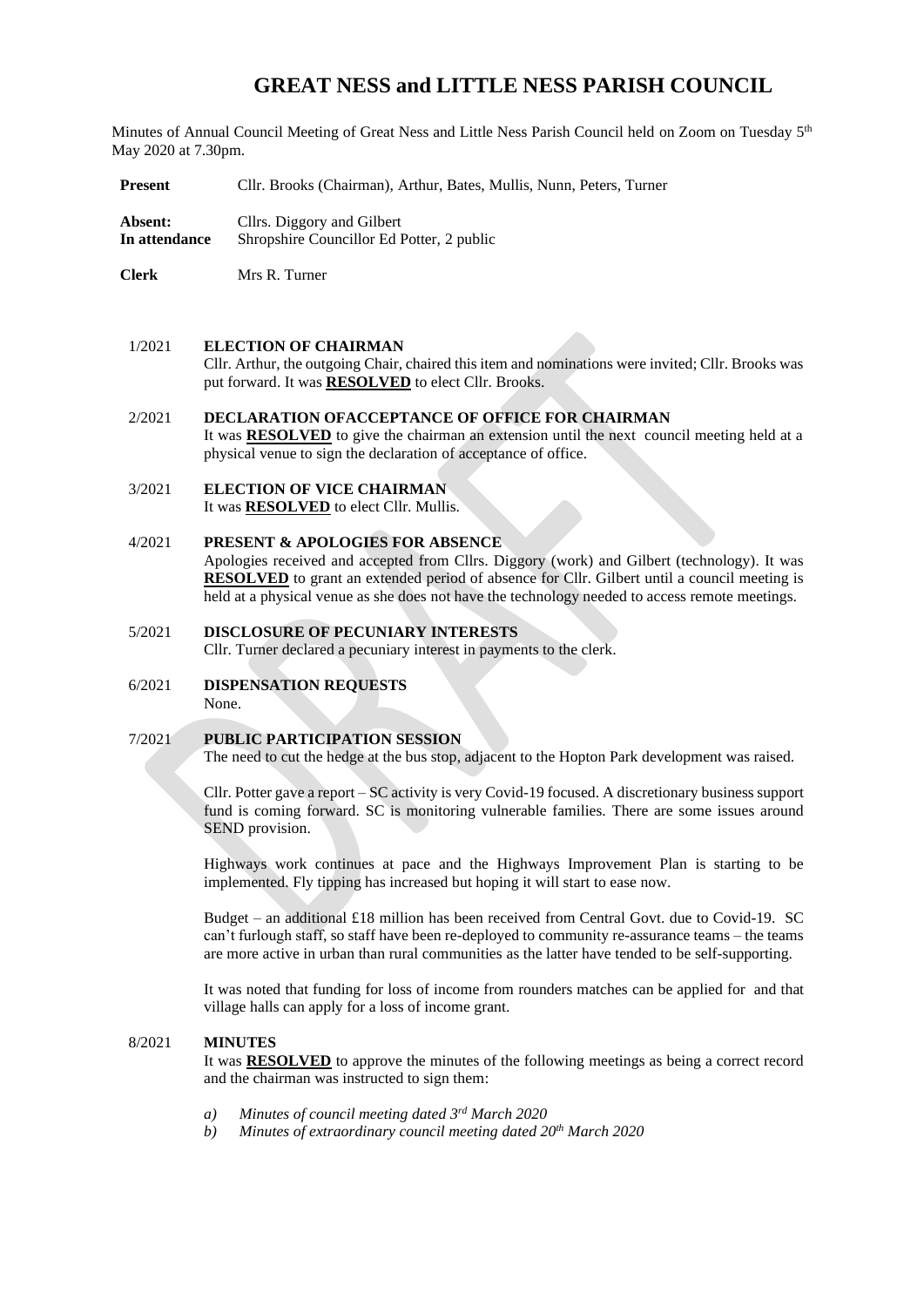# **GREAT NESS and LITTLE NESS PARISH COUNCIL**

Minutes of Annual Council Meeting of Great Ness and Little Ness Parish Council held on Zoom on Tuesday 5<sup>th</sup> May 2020 at 7.30pm.

**Present** Cllr. Brooks (Chairman), Arthur, Bates, Mullis, Nunn, Peters, Turner

**Absent:** Cllrs. Diggory and Gilbert **In attendance** Shropshire Councillor Ed Potter, 2 public

**Clerk** Mrs R. Turner

#### 1/2021 **ELECTION OF CHAIRMAN**

Cllr. Arthur, the outgoing Chair, chaired this item and nominations were invited; Cllr. Brooks was put forward. It was **RESOLVED** to elect Cllr. Brooks.

# 2/2021 **DECLARATION OFACCEPTANCE OF OFFICE FOR CHAIRMAN**

It was **RESOLVED** to give the chairman an extension until the next council meeting held at a physical venue to sign the declaration of acceptance of office.

#### 3/2021 **ELECTION OF VICE CHAIRMAN** It was **RESOLVED** to elect Cllr. Mullis.

# 4/2021 **PRESENT & APOLOGIES FOR ABSENCE**

Apologies received and accepted from Cllrs. Diggory (work) and Gilbert (technology). It was **RESOLVED** to grant an extended period of absence for Cllr. Gilbert until a council meeting is held at a physical venue as she does not have the technology needed to access remote meetings.

# 5/2021 **DISCLOSURE OF PECUNIARY INTERESTS** Cllr. Turner declared a pecuniary interest in payments to the clerk.

6/2021 **DISPENSATION REQUESTS** None.

## 7/2021 **PUBLIC PARTICIPATION SESSION**

The need to cut the hedge at the bus stop, adjacent to the Hopton Park development was raised.

Cllr. Potter gave a report – SC activity is very Covid-19 focused. A discretionary business support fund is coming forward. SC is monitoring vulnerable families. There are some issues around SEND provision.

Highways work continues at pace and the Highways Improvement Plan is starting to be implemented. Fly tipping has increased but hoping it will start to ease now.

Budget – an additional £18 million has been received from Central Govt. due to Covid-19. SC can't furlough staff, so staff have been re-deployed to community re-assurance teams – the teams are more active in urban than rural communities as the latter have tended to be self-supporting.

It was noted that funding for loss of income from rounders matches can be applied for and that village halls can apply for a loss of income grant.

### 8/2021 **MINUTES**

It was **RESOLVED** to approve the minutes of the following meetings as being a correct record and the chairman was instructed to sign them:

- *a) Minutes of council meeting dated 3 rd March 2020*
- *b) Minutes of extraordinary council meeting dated 20th March 2020*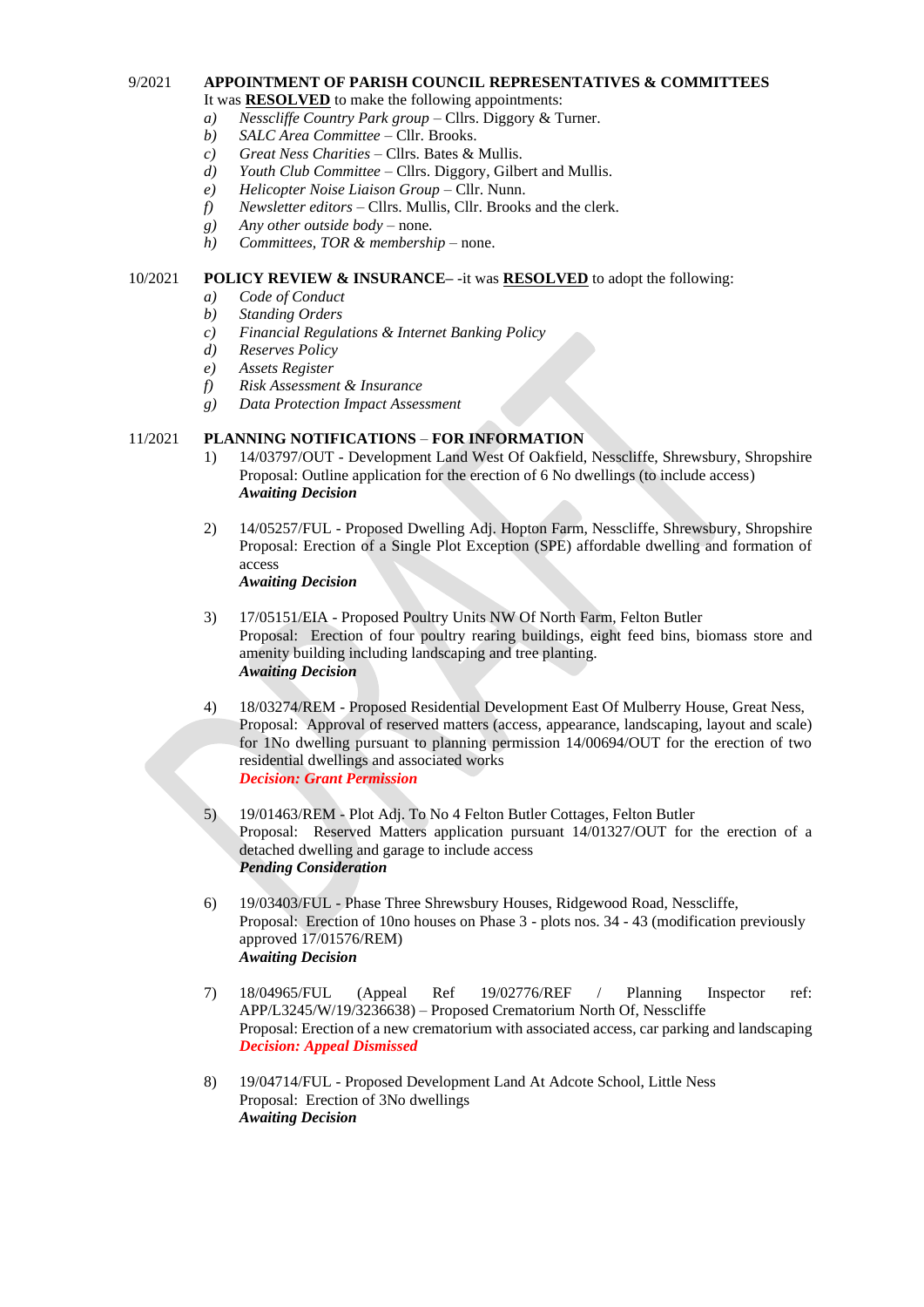#### 9/2021 **APPOINTMENT OF PARISH COUNCIL REPRESENTATIVES & COMMITTEES**  It was **RESOLVED** to make the following appointments:

- *a) Nesscliffe Country Park group –* Cllrs. Diggory & Turner.
- *b) SALC Area Committee –* Cllr. Brooks.
- *c) Great Ness Charities –* Cllrs. Bates & Mullis.
- *d) Youth Club Committee –* Cllrs. Diggory, Gilbert and Mullis.
- *e) Helicopter Noise Liaison Group –* Cllr. Nunn.
- *f) Newsletter editors –* Cllrs. Mullis, Cllr. Brooks and the clerk.
- *g) Any other outside body –* none.
- *h) Committees, TOR & membership –* none.

# 10/2021 **POLICY REVIEW & INSURANCE–** *-*it was **RESOLVED** to adopt the following:

- *a) Code of Conduct*
- *b) Standing Orders*
- *c) Financial Regulations & Internet Banking Policy*
- *d) Reserves Policy*
- *e) Assets Register*
- *f) Risk Assessment & Insurance*
- *g) Data Protection Impact Assessment*

# 11/2021 **PLANNING NOTIFICATIONS** – **FOR INFORMATION**

- 1) 14/03797/OUT Development Land West Of Oakfield, Nesscliffe, Shrewsbury, Shropshire Proposal: Outline application for the erection of 6 No dwellings (to include access) *Awaiting Decision*
- 2) 14/05257/FUL Proposed Dwelling Adj. Hopton Farm, Nesscliffe, Shrewsbury, Shropshire Proposal: Erection of a Single Plot Exception (SPE) affordable dwelling and formation of access *Awaiting Decision*
- 3) 17/05151/EIA Proposed Poultry Units NW Of North Farm, Felton Butler Proposal: Erection of four poultry rearing buildings, eight feed bins, biomass store and amenity building including landscaping and tree planting. *Awaiting Decision*
- 4) 18/03274/REM Proposed Residential Development East Of Mulberry House, Great Ness, Proposal: Approval of reserved matters (access, appearance, landscaping, layout and scale) for 1No dwelling pursuant to planning permission 14/00694/OUT for the erection of two residential dwellings and associated works *Decision: Grant Permission*
- 5) 19/01463/REM Plot Adj. To No 4 Felton Butler Cottages, Felton Butler Proposal: Reserved Matters application pursuant 14/01327/OUT for the erection of a detached dwelling and garage to include access *Pending Consideration*
- 6) 19/03403/FUL Phase Three Shrewsbury Houses, Ridgewood Road, Nesscliffe, Proposal: Erection of 10no houses on Phase 3 - plots nos. 34 - 43 (modification previously approved 17/01576/REM) *Awaiting Decision*
- 7) 18/04965/FUL (Appeal Ref 19/02776/REF / Planning Inspector ref: APP/L3245/W/19/3236638) – Proposed Crematorium North Of, Nesscliffe Proposal: Erection of a new crematorium with associated access, car parking and landscaping *Decision: Appeal Dismissed*
- 8) 19/04714/FUL Proposed Development Land At Adcote School, Little Ness Proposal: Erection of 3No dwellings *Awaiting Decision*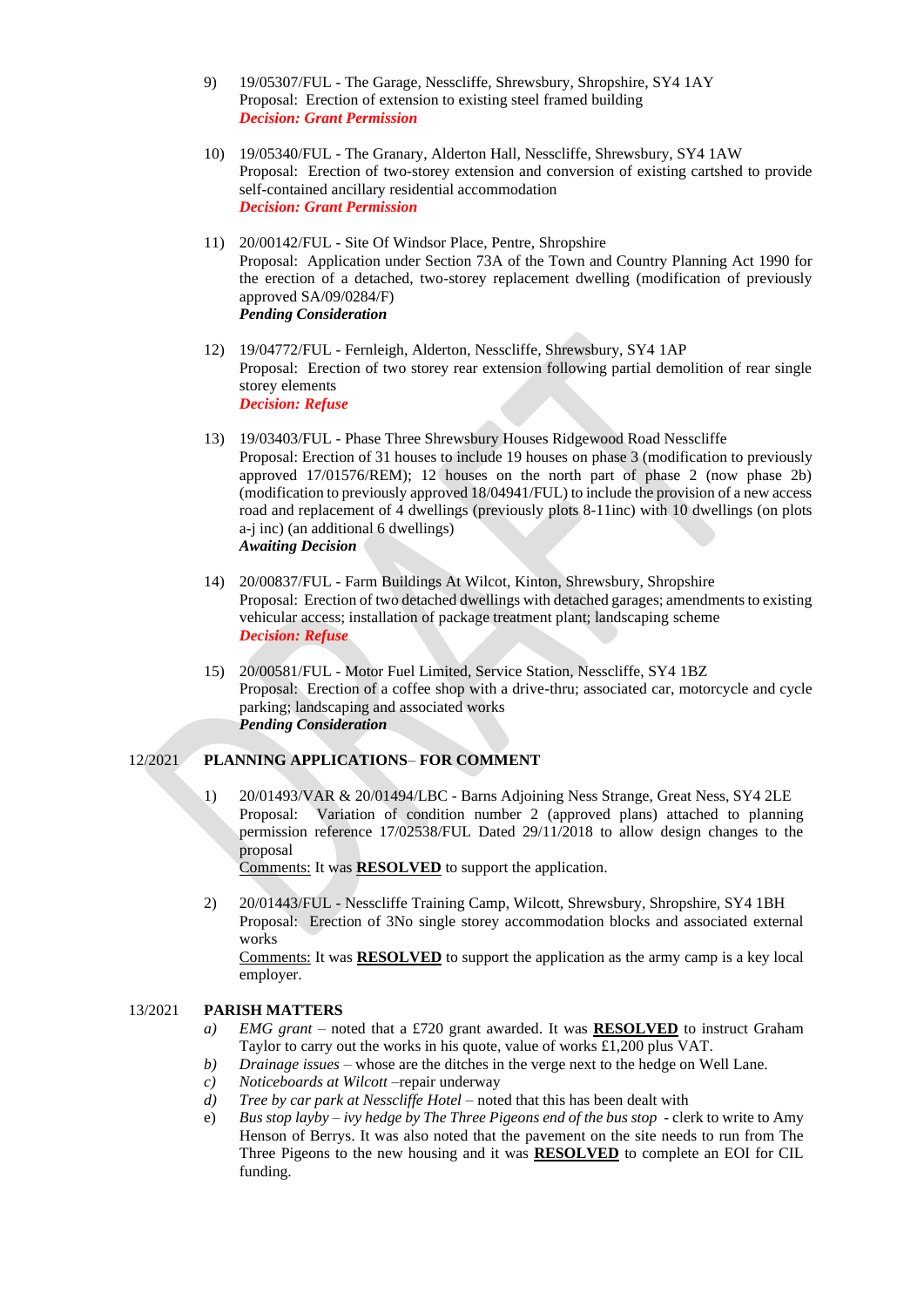- 9) 19/05307/FUL The Garage, Nesscliffe, Shrewsbury, Shropshire, SY4 1AY Proposal: Erection of extension to existing steel framed building *Decision: Grant Permission*
- 10) 19/05340/FUL The Granary, Alderton Hall, Nesscliffe, Shrewsbury, SY4 1AW Proposal: Erection of two-storey extension and conversion of existing cartshed to provide self-contained ancillary residential accommodation *Decision: Grant Permission*
- 11) 20/00142/FUL Site Of Windsor Place, Pentre, Shropshire Proposal: Application under Section 73A of the Town and Country Planning Act 1990 for the erection of a detached, two-storey replacement dwelling (modification of previously approved SA/09/0284/F) *Pending Consideration*
- 12) 19/04772/FUL Fernleigh, Alderton, Nesscliffe, Shrewsbury, SY4 1AP Proposal: Erection of two storey rear extension following partial demolition of rear single storey elements *Decision: Refuse*
- 13) 19/03403/FUL Phase Three Shrewsbury Houses Ridgewood Road Nesscliffe Proposal: Erection of 31 houses to include 19 houses on phase 3 (modification to previously approved 17/01576/REM); 12 houses on the north part of phase 2 (now phase 2b) (modification to previously approved 18/04941/FUL) to include the provision of a new access road and replacement of 4 dwellings (previously plots 8-11inc) with 10 dwellings (on plots a-j inc) (an additional 6 dwellings) *Awaiting Decision*
- 14) 20/00837/FUL Farm Buildings At Wilcot, Kinton, Shrewsbury, Shropshire Proposal: Erection of two detached dwellings with detached garages; amendments to existing vehicular access; installation of package treatment plant; landscaping scheme *Decision: Refuse*
- 15) 20/00581/FUL Motor Fuel Limited, Service Station, Nesscliffe, SY4 1BZ Proposal: Erection of a coffee shop with a drive-thru; associated car, motorcycle and cycle parking; landscaping and associated works *Pending Consideration*

## 12/2021 **PLANNING APPLICATIONS**– **FOR COMMENT**

1) 20/01493/VAR & 20/01494/LBC - Barns Adjoining Ness Strange, Great Ness, SY4 2LE Proposal: Variation of condition number 2 (approved plans) attached to planning permission reference 17/02538/FUL Dated 29/11/2018 to allow design changes to the proposal

Comments: It was **RESOLVED** to support the application.

2) 20/01443/FUL - Nesscliffe Training Camp, Wilcott, Shrewsbury, Shropshire, SY4 1BH Proposal: Erection of 3No single storey accommodation blocks and associated external works

Comments: It was **RESOLVED** to support the application as the army camp is a key local employer.

# 13/2021 **PARISH MATTERS**

- *a) EMG grant –* noted that a £720 grant awarded. It was **RESOLVED** to instruct Graham Taylor to carry out the works in his quote, value of works £1,200 plus VAT.
- *b) Drainage issues*  whose are the ditches in the verge next to the hedge on Well Lane.
- *c) Noticeboards at Wilcott –*repair underway
- *d*) *Tree by car park at Nesscliffe Hotel* noted that this has been dealt with
- e) *Bus stop layby – ivy hedge by The Three Pigeons end of the bus stop*  clerk to write to Amy Henson of Berrys. It was also noted that the pavement on the site needs to run from The Three Pigeons to the new housing and it was **RESOLVED** to complete an EOI for CIL funding.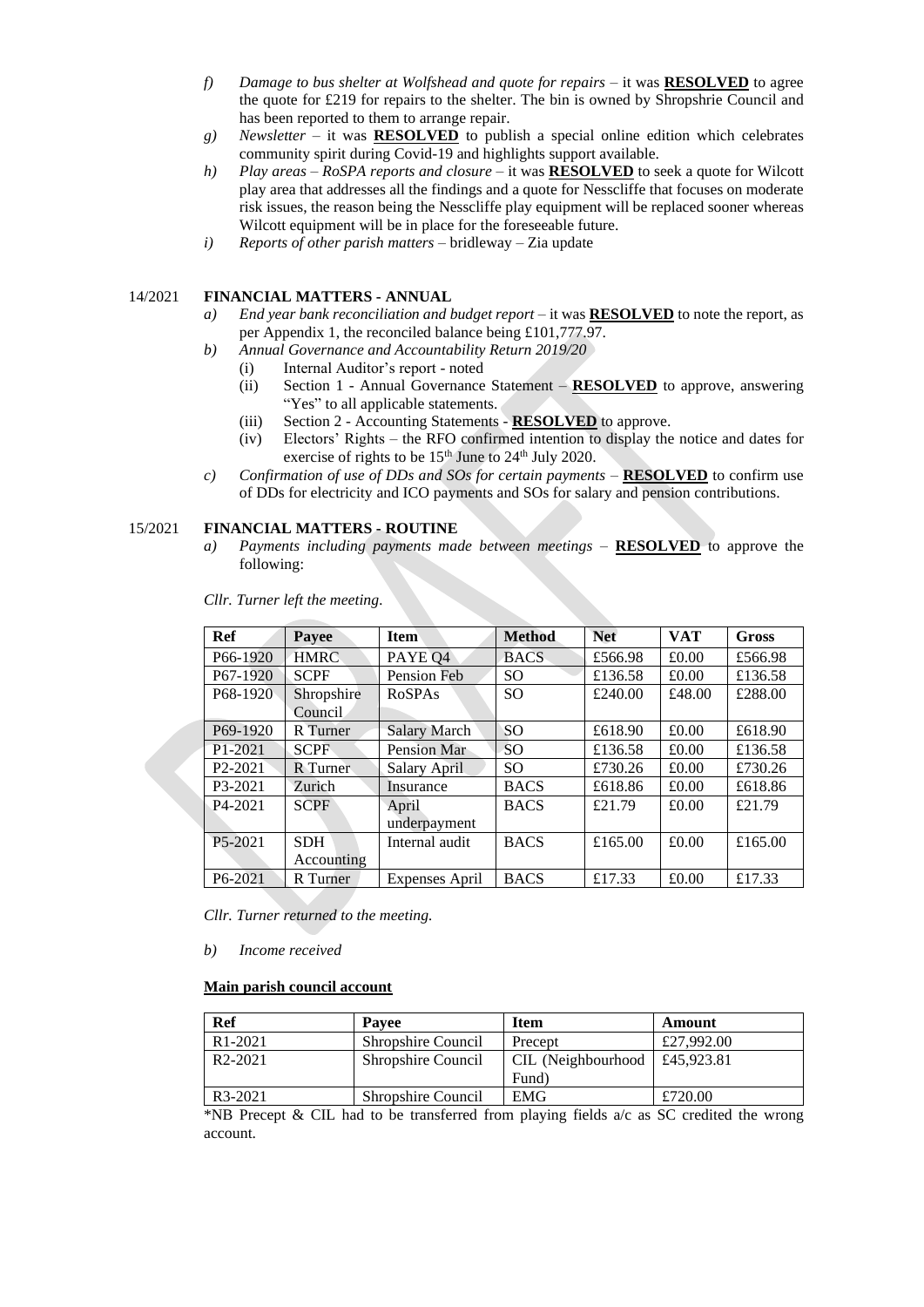- *f) Damage to bus shelter at Wolfshead and quote for repairs –* it was **RESOLVED** to agree the quote for £219 for repairs to the shelter. The bin is owned by Shropshrie Council and has been reported to them to arrange repair.
- *g) Newsletter* it was **RESOLVED** to publish a special online edition which celebrates community spirit during Covid-19 and highlights support available.
- *h) Play areas – RoSPA reports and closure –* it was **RESOLVED** to seek a quote for Wilcott play area that addresses all the findings and a quote for Nesscliffe that focuses on moderate risk issues, the reason being the Nesscliffe play equipment will be replaced sooner whereas Wilcott equipment will be in place for the foreseeable future.
- *i) Reports of other parish matters*  bridleway Zia update

# 14/2021 **FINANCIAL MATTERS - ANNUAL**

- *a) End year bank reconciliation and budget report* it was **RESOLVED** to note the report, as per Appendix 1, the reconciled balance being £101,777.97.
- *b) Annual Governance and Accountability Return 2019/20*
	- (i) Internal Auditor's report noted
		- (ii) Section 1 Annual Governance Statement **RESOLVED** to approve, answering "Yes" to all applicable statements.
		- (iii) Section 2 Accounting Statements **RESOLVED** to approve.
		- (iv) Electors' Rights the RFO confirmed intention to display the notice and dates for exercise of rights to be  $15<sup>th</sup>$  June to  $24<sup>th</sup>$  July 2020.
- *c) Confirmation of use of DDs and SOs for certain payments* **RESOLVED** to confirm use of DDs for electricity and ICO payments and SOs for salary and pension contributions.

### 15/2021 **FINANCIAL MATTERS - ROUTINE**

*a) Payments including payments made between meetings* – **RESOLVED** to approve the following:

| Ref                   | Payee       | <b>Item</b>         | <b>Method</b> | <b>Net</b> | <b>VAT</b> | <b>Gross</b> |
|-----------------------|-------------|---------------------|---------------|------------|------------|--------------|
| P <sub>66</sub> -1920 | <b>HMRC</b> | PAYE Q4             | <b>BACS</b>   | £566.98    | £0.00      | £566.98      |
| P67-1920              | <b>SCPF</b> | Pension Feb         | <sub>SO</sub> | £136.58    | £0.00      | £136.58      |
| P <sub>68</sub> -1920 | Shropshire  | <b>RoSPAs</b>       | <sub>SO</sub> | £240.00    | £48.00     | £288.00      |
|                       | Council     |                     |               |            |            |              |
| P <sub>69</sub> -1920 | R Turner    | <b>Salary March</b> | SO            | £618.90    | £0.00      | £618.90      |
| P <sub>1</sub> -2021  | <b>SCPF</b> | Pension Mar         | <sub>SO</sub> | £136.58    | £0.00      | £136.58      |
| P <sub>2</sub> -2021  | R Turner    | Salary April        | <sub>SO</sub> | £730.26    | £0.00      | £730.26      |
| P3-2021               | Zurich      | Insurance           | <b>BACS</b>   | £618.86    | £0.00      | £618.86      |
| $P4-2021$             | <b>SCPF</b> | April               | <b>BACS</b>   | £21.79     | £0.00      | £21.79       |
|                       |             | underpayment        |               |            |            |              |
| P <sub>5</sub> -2021  | <b>SDH</b>  | Internal audit      | <b>BACS</b>   | £165.00    | £0.00      | £165.00      |
|                       | Accounting  |                     |               |            |            |              |
| P6-2021               | R Turner    | Expenses April      | <b>BACS</b>   | £17.33     | £0.00      | £17.33       |

*Cllr. Turner left the meeting.*

*Cllr. Turner returned to the meeting.*

*b) Income received*

#### **Main parish council account**

| <b>Ref</b>           | <b>Pavee</b>              | <b>Item</b>        | Amount     |
|----------------------|---------------------------|--------------------|------------|
| R <sub>1</sub> -2021 | Shropshire Council        | Precept            | £27,992.00 |
| R <sub>2</sub> -2021 | Shropshire Council        | CIL (Neighbourhood | £45,923.81 |
|                      |                           | Fund)              |            |
| R3-2021              | <b>Shropshire Council</b> | <b>EMG</b>         | £720.00    |

\*NB Precept & CIL had to be transferred from playing fields  $a/c$  as SC credited the wrong account.